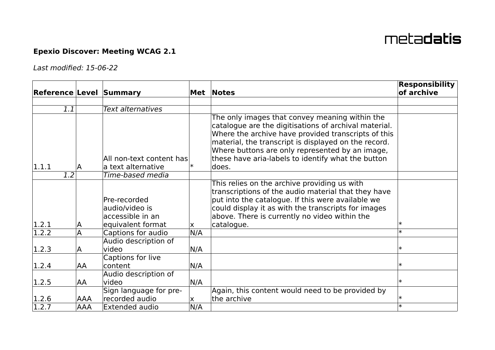## meta**datis**

## **Epexio Discover: Meeting WCAG 2.1**

Last modified: 15-06-22

| <b>Reference Level Summary</b> |            |                                                                         |              | Met Notes                                                                                                                                                                                                                                                                                                                                 | <b>Responsibility</b><br>of archive |
|--------------------------------|------------|-------------------------------------------------------------------------|--------------|-------------------------------------------------------------------------------------------------------------------------------------------------------------------------------------------------------------------------------------------------------------------------------------------------------------------------------------------|-------------------------------------|
|                                |            |                                                                         |              |                                                                                                                                                                                                                                                                                                                                           |                                     |
| 1.1                            |            | Text alternatives                                                       |              |                                                                                                                                                                                                                                                                                                                                           |                                     |
| 1.1.1                          | A          | All non-text content has<br>a text alternative                          |              | The only images that convey meaning within the<br>catalogue are the digitisations of archival material.<br>Where the archive have provided transcripts of this<br>material, the transcript is displayed on the record.<br>Where buttons are only represented by an image,<br>these have aria-labels to identify what the button<br>ldoes. |                                     |
| 1.2                            |            | Time-based media                                                        |              |                                                                                                                                                                                                                                                                                                                                           |                                     |
| 1.2.1                          | ΙA         | Pre-recorded<br>audio/video is<br>accessible in an<br>equivalent format | X.           | This relies on the archive providing us with<br>transcriptions of the audio material that they have<br>put into the catalogue. If this were available we<br>could display it as with the transcripts for images<br>above. There is currently no video within the<br>catalogue.                                                            | $\ast$                              |
| $\sqrt{1.2.2}$                 | A          | Captions for audio                                                      | N/A          |                                                                                                                                                                                                                                                                                                                                           |                                     |
| 1.2.3                          | A          | Audio description of<br>video<br>Captions for live                      | N/A          |                                                                                                                                                                                                                                                                                                                                           | $\ast$                              |
| 1.2.4                          | AA         | content                                                                 | N/A          |                                                                                                                                                                                                                                                                                                                                           |                                     |
| 1.2.5                          | <b>AA</b>  | Audio description of<br>video<br>Sign language for pre-                 | N/A          | Again, this content would need to be provided by                                                                                                                                                                                                                                                                                          | $\ast$                              |
| 1.2.6                          | <b>AAA</b> | recorded audio                                                          | $\mathsf{X}$ | the archive                                                                                                                                                                                                                                                                                                                               | $\ast$                              |
| 1.2.7                          | <b>AAA</b> | Extended audio                                                          | N/A          |                                                                                                                                                                                                                                                                                                                                           |                                     |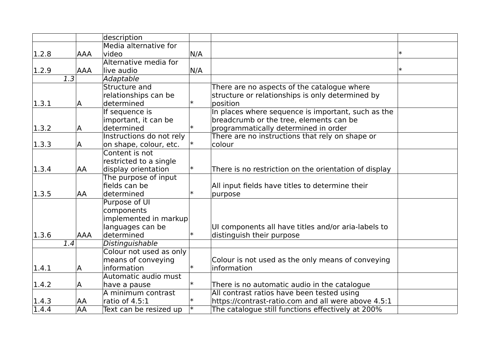|       |                  |            | description              |        |                                                       |  |
|-------|------------------|------------|--------------------------|--------|-------------------------------------------------------|--|
|       |                  |            | Media alternative for    |        |                                                       |  |
| 1.2.8 |                  | <b>AAA</b> | video                    | N/A    |                                                       |  |
|       |                  |            | Alternative media for    |        |                                                       |  |
| 1.2.9 |                  | <b>AAA</b> | live audio               | N/A    |                                                       |  |
|       | $\overline{1.3}$ |            | Adaptable                |        |                                                       |  |
|       |                  |            | Structure and            |        | There are no aspects of the catalogue where           |  |
|       |                  |            | relationships can be     |        | structure or relationships is only determined by      |  |
| 1.3.1 |                  | A          | determined               | $\ast$ | position                                              |  |
|       |                  |            | If sequence is           |        | In places where sequence is important, such as the    |  |
|       |                  |            | important, it can be     |        | breadcrumb or the tree, elements can be               |  |
| 1.3.2 |                  | A          | determined               | ∣∗     | programmatically determined in order                  |  |
|       |                  |            | Instructions do not rely |        | There are no instructions that rely on shape or       |  |
| 1.3.3 |                  | A          | on shape, colour, etc.   |        | colour                                                |  |
|       |                  |            | Content is not           |        |                                                       |  |
|       |                  |            | restricted to a single   |        |                                                       |  |
| 1.3.4 |                  | <b>AA</b>  | display orientation      | ∣∗     | There is no restriction on the orientation of display |  |
|       |                  |            | The purpose of input     |        |                                                       |  |
|       |                  |            | fields can be            |        | All input fields have titles to determine their       |  |
| 1.3.5 |                  | AA         | determined               | $\ast$ | purpose                                               |  |
|       |                  |            | Purpose of UI            |        |                                                       |  |
|       |                  |            | components               |        |                                                       |  |
|       |                  |            | implemented in markup    |        |                                                       |  |
|       |                  |            | languages can be         |        | UI components all have titles and/or aria-labels to   |  |
| 1.3.6 |                  | <b>AAA</b> | determined               | ∣∗     | distinguish their purpose                             |  |
|       | 1.4              |            | Distinguishable          |        |                                                       |  |
|       |                  |            | Colour not used as only  |        |                                                       |  |
|       |                  |            | means of conveying       |        | Colour is not used as the only means of conveying     |  |
| 1.4.1 |                  | A          | information              | ∣∗     | information                                           |  |
|       |                  |            | Automatic audio must     |        |                                                       |  |
| 1.4.2 |                  | A          | have a pause             |        | There is no automatic audio in the catalogue          |  |
|       |                  |            | A minimum contrast       |        | All contrast ratios have been tested using            |  |
| 1.4.3 |                  | AA         | ratio of 4.5:1           | $\ast$ | https://contrast-ratio.com and all were above 4.5:1   |  |
| 1.4.4 |                  | <b>AA</b>  | Text can be resized up   | ∣∗     | The catalogue still functions effectively at 200%     |  |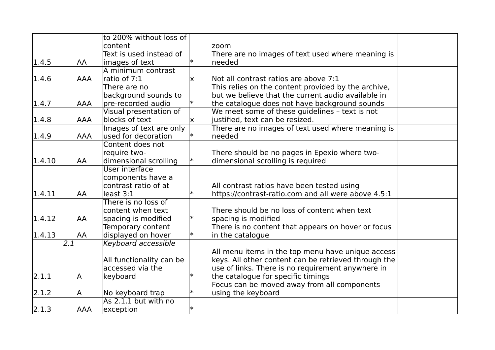|        |            | to 200% without loss of  |        |                                                      |  |
|--------|------------|--------------------------|--------|------------------------------------------------------|--|
|        |            | content                  |        | zoom                                                 |  |
|        |            | Text is used instead of  |        | There are no images of text used where meaning is    |  |
| 1.4.5  | AA         | images of text           | ∗      | needed                                               |  |
|        |            | A minimum contrast       |        |                                                      |  |
| 1.4.6  | <b>AAA</b> | ratio of 7:1             | X.     | Not all contrast ratios are above 7:1                |  |
|        |            | There are no             |        | This relies on the content provided by the archive,  |  |
|        |            | background sounds to     |        | but we believe that the current audio available in   |  |
| 1.4.7  | <b>AAA</b> | pre-recorded audio       | ∗      | the catalogue does not have background sounds        |  |
|        |            | Visual presentation of   |        | We meet some of these guidelines - text is not       |  |
| 1.4.8  | AAA        | blocks of text           | X.     | justified, text can be resized.                      |  |
|        |            | Images of text are only  |        | There are no images of text used where meaning is    |  |
| 1.4.9  | <b>AAA</b> | used for decoration      |        | needed                                               |  |
|        |            | Content does not         |        |                                                      |  |
|        |            | require two-             |        | There should be no pages in Epexio where two-        |  |
| 1.4.10 | AA         | dimensional scrolling    | ∣∗     | dimensional scrolling is required                    |  |
|        |            | User interface           |        |                                                      |  |
|        |            | components have a        |        |                                                      |  |
|        |            | contrast ratio of at     |        | All contrast ratios have been tested using           |  |
| 1.4.11 | AA         | least 3:1                | $\ast$ | https://contrast-ratio.com and all were above 4.5:1  |  |
|        |            | There is no loss of      |        |                                                      |  |
|        |            | content when text        |        | There should be no loss of content when text         |  |
| 1.4.12 | AA         | spacing is modified      | $\ast$ | spacing is modified                                  |  |
|        |            | Temporary content        |        | There is no content that appears on hover or focus   |  |
| 1.4.13 | AA         | displayed on hover       | $\ast$ | in the catalogue                                     |  |
|        | 2.1        | Keyboard accessible      |        |                                                      |  |
|        |            |                          |        | All menu items in the top menu have unique access    |  |
|        |            | All functionality can be |        | keys. All other content can be retrieved through the |  |
|        |            | accessed via the         |        | use of links. There is no requirement anywhere in    |  |
| 2.1.1  | A          | keyboard                 |        | the catalogue for specific timings                   |  |
|        |            |                          |        | Focus can be moved away from all components          |  |
| 2.1.2  | A          | No keyboard trap         | $\ast$ | using the keyboard                                   |  |
|        |            | As 2.1.1 but with no     |        |                                                      |  |
| 2.1.3  | <b>AAA</b> | exception                | $\ast$ |                                                      |  |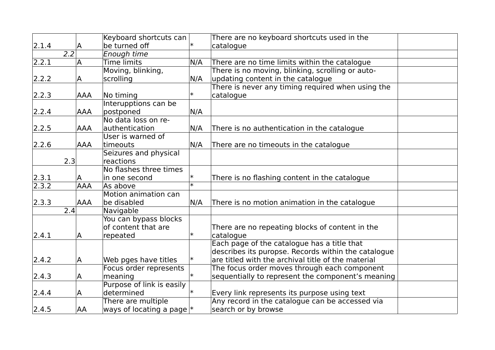|                |                  |            | Keyboard shortcuts can        |        | There are no keyboard shortcuts used in the         |  |
|----------------|------------------|------------|-------------------------------|--------|-----------------------------------------------------|--|
| 2.1.4          |                  | A          | be turned off                 |        | catalogue                                           |  |
|                | $\overline{2.2}$ |            | Enough time                   |        |                                                     |  |
| 2.2.1          |                  | A          | Time limits                   | N/A    | There are no time limits within the catalogue       |  |
|                |                  |            | Moving, blinking,             |        | There is no moving, blinking, scrolling or auto-    |  |
| 2.2.2          |                  | A          | scrolling                     | N/A    | updating content in the catalogue                   |  |
|                |                  |            |                               |        | There is never any timing required when using the   |  |
| 2.2.3          |                  | <b>AAA</b> | No timing                     | ☀      | catalogue                                           |  |
|                |                  |            | Interupptions can be          |        |                                                     |  |
| 2.2.4          |                  | <b>AAA</b> | postponed                     | N/A    |                                                     |  |
|                |                  |            | No data loss on re-           |        |                                                     |  |
| 2.2.5          |                  | AAA        | authentication                | N/A    | There is no authentication in the catalogue         |  |
|                |                  |            | User is warned of             |        |                                                     |  |
| 2.2.6          |                  | <b>AAA</b> | timeouts                      | N/A    | There are no timeouts in the catalogue              |  |
|                |                  |            | Seizures and physical         |        |                                                     |  |
|                | 2.3              |            | reactions                     |        |                                                     |  |
|                |                  |            | No flashes three times        |        |                                                     |  |
| 2.3.1          |                  | A          | in one second                 |        | There is no flashing content in the catalogue       |  |
| $\sqrt{2.3.2}$ |                  | <b>AAA</b> | As above                      | ∗      |                                                     |  |
|                |                  |            | Motion animation can          |        |                                                     |  |
| 2.3.3          |                  | <b>AAA</b> | be disabled                   | N/A    | There is no motion animation in the catalogue       |  |
|                | 2.4              |            | Navigable                     |        |                                                     |  |
|                |                  |            | You can bypass blocks         |        |                                                     |  |
|                |                  |            | of content that are           |        | There are no repeating blocks of content in the     |  |
| 2.4.1          |                  | A          | repeated                      | $\ast$ | catalogue                                           |  |
|                |                  |            |                               |        | Each page of the catalogue has a title that         |  |
|                |                  |            |                               |        | describes its puropse. Records within the catalogue |  |
| 2.4.2          |                  | A          | Web pges have titles          | ∗      | are titled with the archival title of the material  |  |
|                |                  |            | Focus order represents        |        | The focus order moves through each component        |  |
| 2.4.3          |                  | Α          | meaning                       |        | sequentially to represent the component's meaning   |  |
|                |                  |            | Purpose of link is easily     |        |                                                     |  |
| 2.4.4          |                  | A          | determined                    |        | Every link represents its purpose using text        |  |
|                |                  |            | There are multiple            |        | Any record in the catalogue can be accessed via     |  |
| 2.4.5          |                  | AA         | ways of locating a page $ $ * |        | search or by browse                                 |  |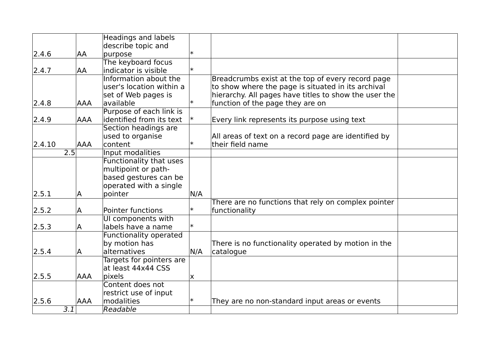|        |                  |            | <b>Headings and labels</b> |        |                                                       |  |
|--------|------------------|------------|----------------------------|--------|-------------------------------------------------------|--|
|        |                  |            | describe topic and         |        |                                                       |  |
| 2.4.6  |                  | AA         | purpose                    | $\ast$ |                                                       |  |
|        |                  |            | The keyboard focus         |        |                                                       |  |
| 2.4.7  |                  | AA         | indicator is visible       | $\ast$ |                                                       |  |
|        |                  |            | Information about the      |        | Breadcrumbs exist at the top of every record page     |  |
|        |                  |            | user's location within a   |        | to show where the page is situated in its archival    |  |
|        |                  |            | set of Web pages is        |        | hierarchy. All pages have titles to show the user the |  |
| 2.4.8  |                  | <b>AAA</b> | available                  | $\ast$ | function of the page they are on                      |  |
|        |                  |            | Purpose of each link is    |        |                                                       |  |
| 2.4.9  |                  | AAA        | identified from its text   |        | Every link represents its purpose using text          |  |
|        |                  |            | Section headings are       |        |                                                       |  |
|        |                  |            | used to organise           |        | All areas of text on a record page are identified by  |  |
| 2.4.10 |                  | <b>AAA</b> | content                    | $\ast$ | their field name                                      |  |
|        | $\overline{2.5}$ |            | Input modalities           |        |                                                       |  |
|        |                  |            | Functionality that uses    |        |                                                       |  |
|        |                  |            | multipoint or path-        |        |                                                       |  |
|        |                  |            | based gestures can be      |        |                                                       |  |
|        |                  |            | operated with a single     |        |                                                       |  |
| 2.5.1  |                  | A          | pointer                    | N/A    |                                                       |  |
|        |                  |            |                            |        | There are no functions that rely on complex pointer   |  |
| 2.5.2  |                  | A          | <b>Pointer functions</b>   | $\ast$ | functionality                                         |  |
|        |                  |            | UI components with         |        |                                                       |  |
| 2.5.3  |                  | A          | labels have a name         | $\ast$ |                                                       |  |
|        |                  |            | Functionality operated     |        |                                                       |  |
|        |                  |            | by motion has              |        | There is no functionality operated by motion in the   |  |
| 2.5.4  |                  | A          | alternatives               | N/A    | catalogue                                             |  |
|        |                  |            | Targets for pointers are   |        |                                                       |  |
|        |                  |            | at least 44x44 CSS         |        |                                                       |  |
| 2.5.5  |                  | <b>AAA</b> | pixels                     | X      |                                                       |  |
|        |                  |            | Content does not           |        |                                                       |  |
|        |                  |            | restrict use of input      |        |                                                       |  |
| 2.5.6  |                  | <b>AAA</b> | modalities                 | $\ast$ | They are no non-standard input areas or events        |  |
|        | 3.1              |            | Readable                   |        |                                                       |  |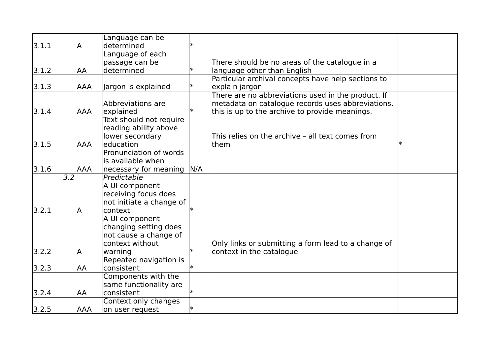|       |                  | Language can be           |        |                                                     |        |
|-------|------------------|---------------------------|--------|-----------------------------------------------------|--------|
| 3.1.1 | A                | determined                |        |                                                     |        |
|       |                  | Language of each          |        |                                                     |        |
|       |                  | passage can be            |        | There should be no areas of the catalogue in a      |        |
| 3.1.2 | AA               | determined                | $\ast$ | language other than English                         |        |
|       |                  |                           |        | Particular archival concepts have help sections to  |        |
| 3.1.3 | <b>AAA</b>       | Jargon is explained       | ∗      | explain jargon                                      |        |
|       |                  |                           |        | There are no abbreviations used in the product. If  |        |
|       |                  | Abbreviations are         |        | metadata on catalogue records uses abbreviations,   |        |
| 3.1.4 | <b>AAA</b>       | explained                 | $\ast$ | this is up to the archive to provide meanings.      |        |
|       |                  | Text should not require   |        |                                                     |        |
|       |                  | reading ability above     |        |                                                     |        |
|       |                  | lower secondary           |        | This relies on the archive - all text comes from    |        |
| 3.1.5 | <b>AAA</b>       | education                 |        | them                                                | $\ast$ |
|       |                  | Pronunciation of words    |        |                                                     |        |
|       |                  | is available when         |        |                                                     |        |
| 3.1.6 | <b>AAA</b>       | necessary for meaning N/A |        |                                                     |        |
|       | $\overline{3.2}$ | Predictable               |        |                                                     |        |
|       |                  | A UI component            |        |                                                     |        |
|       |                  | receiving focus does      |        |                                                     |        |
|       |                  | not initiate a change of  |        |                                                     |        |
| 3.2.1 | ΙA               | context                   |        |                                                     |        |
|       |                  | A UI component            |        |                                                     |        |
|       |                  | changing setting does     |        |                                                     |        |
|       |                  | not cause a change of     |        |                                                     |        |
|       |                  | context without           |        | Only links or submitting a form lead to a change of |        |
| 3.2.2 | A                | warning                   | $\ast$ | context in the catalogue                            |        |
|       |                  | Repeated navigation is    |        |                                                     |        |
| 3.2.3 | AA               | consistent                | $\ast$ |                                                     |        |
|       |                  | Components with the       |        |                                                     |        |
|       |                  | same functionality are    |        |                                                     |        |
| 3.2.4 | AA               | consistent                | $\ast$ |                                                     |        |
|       |                  | Context only changes      |        |                                                     |        |
| 3.2.5 | AAA              | on user request           | $\ast$ |                                                     |        |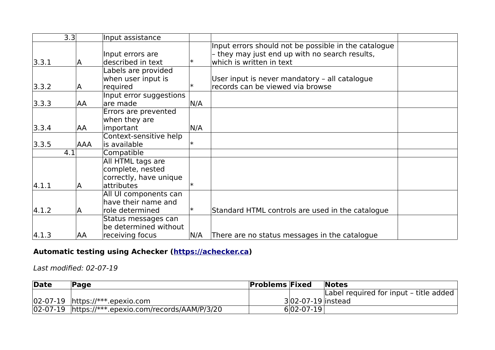|       | 3.3 | Input assistance        |        |                                                      |  |
|-------|-----|-------------------------|--------|------------------------------------------------------|--|
|       |     |                         |        | Input errors should not be possible in the catalogue |  |
|       |     | Input errors are        |        | - they may just end up with no search results,       |  |
| 3.3.1 | IA  | described in text       | ∣∗     | which is written in text                             |  |
|       |     | Labels are provided     |        |                                                      |  |
|       |     | when user input is      |        | User input is never mandatory - all catalogue        |  |
| 3.3.2 | A   | required                | $\ast$ | records can be viewed via browse                     |  |
|       |     | Input error suggestions |        |                                                      |  |
| 3.3.3 | AA  | are made                | N/A    |                                                      |  |
|       |     | Errors are prevented    |        |                                                      |  |
|       |     | when they are           |        |                                                      |  |
| 3.3.4 | AA  | important               | N/A    |                                                      |  |
|       |     | Context-sensitive help  |        |                                                      |  |
| 3.3.5 | AAA | is available            | ∣∗     |                                                      |  |
|       | 4.1 | Compatible              |        |                                                      |  |
|       |     | All HTML tags are       |        |                                                      |  |
|       |     | complete, nested        |        |                                                      |  |
|       |     | correctly, have unique  |        |                                                      |  |
| 4.1.1 | A   | attributes              |        |                                                      |  |
|       |     | All UI components can   |        |                                                      |  |
|       |     | have their name and     |        |                                                      |  |
| 4.1.2 | A   | role determined         | ∣∗     | Standard HTML controls are used in the catalogue     |  |
|       |     | Status messages can     |        |                                                      |  |
|       |     | be determined without   |        |                                                      |  |
| 4.1.3 | AA  | receiving focus         | N/A    | There are no status messages in the catalogue        |  |

## **Automatic testing using Achecker [\(https://achecker.ca\)](https://achecker.ca/)**

Last modified: 02-07-19

| Date | Page                                                 | <b>Problems Fixed</b> |                   | <b>Notes</b>                           |
|------|------------------------------------------------------|-----------------------|-------------------|----------------------------------------|
|      |                                                      |                       |                   | Label required for input - title added |
|      | $ 02-07-19 $ https://***.epexio.com                  |                       | 302-07-19 instead |                                        |
|      | 02-07-19   https://***.epexio.com/records/AAM/P/3/20 |                       | $6 02-07-19 $     |                                        |